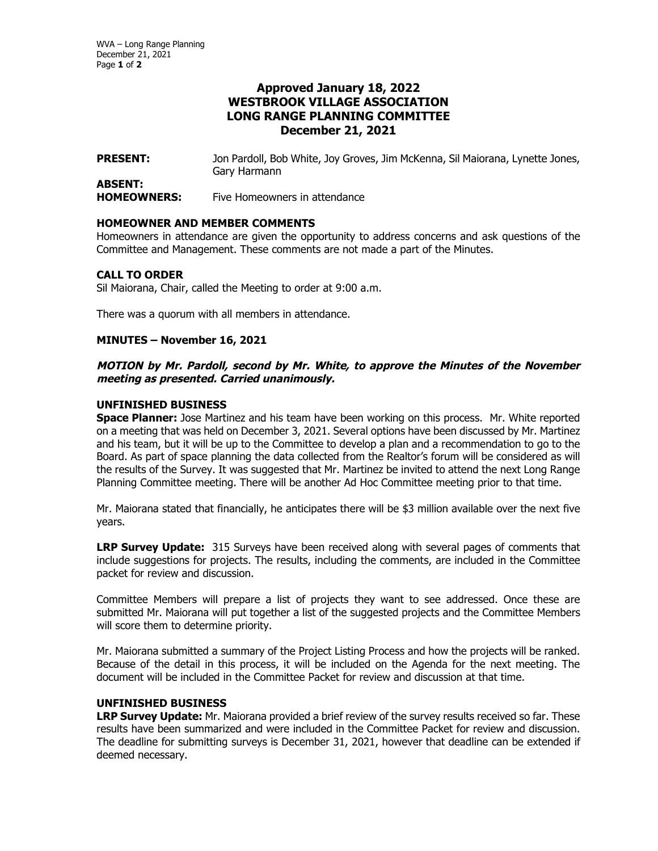# **Approved January 18, 2022 WESTBROOK VILLAGE ASSOCIATION LONG RANGE PLANNING COMMITTEE December 21, 2021**

**PRESENT:** Jon Pardoll, Bob White, Joy Groves, Jim McKenna, Sil Maiorana, Lynette Jones, Gary Harmann

### **ABSENT: HOMEOWNERS:** Five Homeowners in attendance

#### **HOMEOWNER AND MEMBER COMMENTS**

Homeowners in attendance are given the opportunity to address concerns and ask questions of the Committee and Management. These comments are not made a part of the Minutes.

# **CALL TO ORDER**

Sil Maiorana, Chair, called the Meeting to order at 9:00 a.m.

There was a quorum with all members in attendance.

# **MINUTES – November 16, 2021**

# **MOTION by Mr. Pardoll, second by Mr. White, to approve the Minutes of the November meeting as presented. Carried unanimously.**

### **UNFINISHED BUSINESS**

**Space Planner:** Jose Martinez and his team have been working on this process. Mr. White reported on a meeting that was held on December 3, 2021. Several options have been discussed by Mr. Martinez and his team, but it will be up to the Committee to develop a plan and a recommendation to go to the Board. As part of space planning the data collected from the Realtor's forum will be considered as will the results of the Survey. It was suggested that Mr. Martinez be invited to attend the next Long Range Planning Committee meeting. There will be another Ad Hoc Committee meeting prior to that time.

Mr. Maiorana stated that financially, he anticipates there will be \$3 million available over the next five years.

**LRP Survey Update:** 315 Surveys have been received along with several pages of comments that include suggestions for projects. The results, including the comments, are included in the Committee packet for review and discussion.

Committee Members will prepare a list of projects they want to see addressed. Once these are submitted Mr. Maiorana will put together a list of the suggested projects and the Committee Members will score them to determine priority.

Mr. Maiorana submitted a summary of the Project Listing Process and how the projects will be ranked. Because of the detail in this process, it will be included on the Agenda for the next meeting. The document will be included in the Committee Packet for review and discussion at that time.

# **UNFINISHED BUSINESS**

**LRP Survey Update:** Mr. Maiorana provided a brief review of the survey results received so far. These results have been summarized and were included in the Committee Packet for review and discussion. The deadline for submitting surveys is December 31, 2021, however that deadline can be extended if deemed necessary.